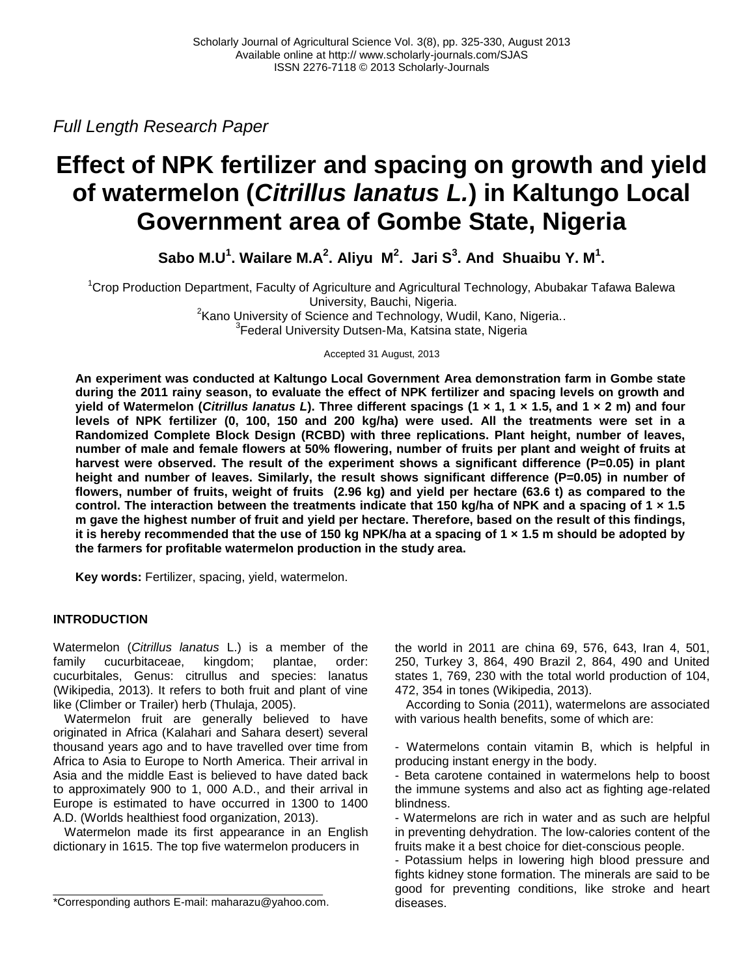*Full Length Research Paper*

# **Effect of NPK fertilizer and spacing on growth and yield of watermelon (***Citrillus lanatus L.***) in Kaltungo Local Government area of Gombe State, Nigeria**

Sabo M.U<sup>1</sup>. Wailare M.A<sup>2</sup>. Aliyu M<sup>2</sup>. Jari S<sup>3</sup>. And Shuaibu Y. M<sup>1</sup>.

<sup>1</sup>Crop Production Department, Faculty of Agriculture and Agricultural Technology, Abubakar Tafawa Balewa University, Bauchi, Nigeria. <sup>2</sup> Kano University of Science and Technology, Wudil, Kano, Nigeria..

<sup>3</sup> Federal University Dutsen-Ma, Katsina state, Nigeria

Accepted 31 August, 2013

**An experiment was conducted at Kaltungo Local Government Area demonstration farm in Gombe state during the 2011 rainy season, to evaluate the effect of NPK fertilizer and spacing levels on growth and yield of Watermelon (***Citrillus lanatus L***). Three different spacings (1 × 1, 1 × 1.5, and 1 × 2 m) and four levels of NPK fertilizer (0, 100, 150 and 200 kg/ha) were used. All the treatments were set in a Randomized Complete Block Design (RCBD) with three replications. Plant height, number of leaves, number of male and female flowers at 50% flowering, number of fruits per plant and weight of fruits at**  harvest were observed. The result of the experiment shows a significant difference (P=0.05) in plant **height and number of leaves. Similarly, the result shows significant difference (P=0.05) in number of flowers, number of fruits, weight of fruits (2.96 kg) and yield per hectare (63.6 t) as compared to the control. The interaction between the treatments indicate that 150 kg/ha of NPK and a spacing of 1 × 1.5 m gave the highest number of fruit and yield per hectare. Therefore, based on the result of this findings, it is hereby recommended that the use of 150 kg NPK/ha at a spacing of 1 × 1.5 m should be adopted by the farmers for profitable watermelon production in the study area.**

**Key words:** Fertilizer, spacing, yield, watermelon.

## **INTRODUCTION**

Watermelon (*Citrillus lanatus* L.) is a member of the family cucurbitaceae, kingdom; plantae, order: cucurbitales, Genus: citrullus and species: lanatus (Wikipedia, 2013). It refers to both fruit and plant of vine like (Climber or Trailer) herb (Thulaja, 2005).

Watermelon fruit are generally believed to have originated in Africa (Kalahari and Sahara desert) several thousand years ago and to have travelled over time from Africa to Asia to Europe to North America. Their arrival in Asia and the middle East is believed to have dated back to approximately 900 to 1, 000 A.D., and their arrival in Europe is estimated to have occurred in 1300 to 1400 A.D. (Worlds healthiest food organization, 2013).

Watermelon made its first appearance in an English dictionary in 1615. The top five watermelon producers in

the world in 2011 are china 69, 576, 643, Iran 4, 501, 250, Turkey 3, 864, 490 Brazil 2, 864, 490 and United states 1, 769, 230 with the total world production of 104, 472, 354 in tones (Wikipedia, 2013).

According to Sonia (2011), watermelons are associated with various health benefits, some of which are:

- Watermelons contain vitamin B, which is helpful in producing instant energy in the body.

- Beta carotene contained in watermelons help to boost the immune systems and also act as fighting age-related blindness.

- Watermelons are rich in water and as such are helpful in preventing dehydration. The low-calories content of the fruits make it a best choice for diet-conscious people.

- Potassium helps in lowering high blood pressure and fights kidney stone formation. The minerals are said to be good for preventing conditions, like stroke and heart diseases.

<sup>\*</sup>Corresponding authors E-mail: maharazu@yahoo.com.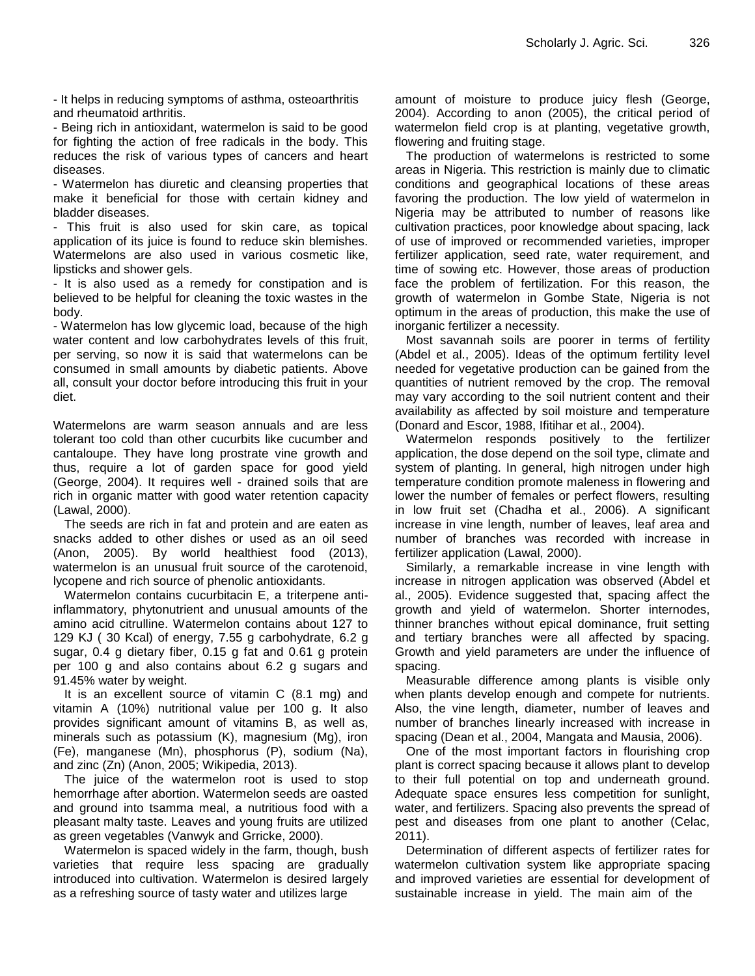- It helps in reducing symptoms of asthma, osteoarthritis and rheumatoid arthritis.

- Being rich in antioxidant, watermelon is said to be good for fighting the action of free radicals in the body. This reduces the risk of various types of cancers and heart diseases.

- Watermelon has diuretic and cleansing properties that make it beneficial for those with certain kidney and bladder diseases.

- This fruit is also used for skin care, as topical application of its juice is found to reduce skin blemishes. Watermelons are also used in various cosmetic like, lipsticks and shower gels.

- It is also used as a remedy for constipation and is believed to be helpful for cleaning the toxic wastes in the body.

- Watermelon has low glycemic load, because of the high water content and low carbohydrates levels of this fruit, per serving, so now it is said that watermelons can be consumed in small amounts by diabetic patients. Above all, consult your doctor before introducing this fruit in your diet.

Watermelons are warm season annuals and are less tolerant too cold than other cucurbits like cucumber and cantaloupe. They have long prostrate vine growth and thus, require a lot of garden space for good yield (George, 2004). It requires well - drained soils that are rich in organic matter with good water retention capacity (Lawal, 2000).

The seeds are rich in fat and protein and are eaten as snacks added to other dishes or used as an oil seed (Anon, 2005). By world healthiest food (2013), watermelon is an unusual fruit source of the carotenoid, lycopene and rich source of phenolic antioxidants.

Watermelon contains cucurbitacin E, a triterpene antiinflammatory, phytonutrient and unusual amounts of the amino acid citrulline. Watermelon contains about 127 to 129 KJ ( 30 Kcal) of energy, 7.55 g carbohydrate, 6.2 g sugar, 0.4 g dietary fiber, 0.15 g fat and 0.61 g protein per 100 g and also contains about 6.2 g sugars and 91.45% water by weight.

It is an excellent source of vitamin C (8.1 mg) and vitamin A (10%) nutritional value per 100 g. It also provides significant amount of vitamins B, as well as, minerals such as potassium (K), magnesium (Mg), iron (Fe), manganese (Mn), phosphorus (P), sodium (Na), and zinc (Zn) (Anon, 2005; Wikipedia, 2013).

The juice of the watermelon root is used to stop hemorrhage after abortion. Watermelon seeds are oasted and ground into tsamma meal, a nutritious food with a pleasant malty taste. Leaves and young fruits are utilized as green vegetables (Vanwyk and Grricke, 2000).

Watermelon is spaced widely in the farm, though, bush varieties that require less spacing are gradually introduced into cultivation. Watermelon is desired largely as a refreshing source of tasty water and utilizes large

amount of moisture to produce juicy flesh (George, 2004). According to anon (2005), the critical period of watermelon field crop is at planting, vegetative growth, flowering and fruiting stage.

The production of watermelons is restricted to some areas in Nigeria. This restriction is mainly due to climatic conditions and geographical locations of these areas favoring the production. The low yield of watermelon in Nigeria may be attributed to number of reasons like cultivation practices, poor knowledge about spacing, lack of use of improved or recommended varieties, improper fertilizer application, seed rate, water requirement, and time of sowing etc. However, those areas of production face the problem of fertilization. For this reason, the growth of watermelon in Gombe State, Nigeria is not optimum in the areas of production, this make the use of inorganic fertilizer a necessity.

Most savannah soils are poorer in terms of fertility (Abdel et al., 2005). Ideas of the optimum fertility level needed for vegetative production can be gained from the quantities of nutrient removed by the crop. The removal may vary according to the soil nutrient content and their availability as affected by soil moisture and temperature (Donard and Escor, 1988, Ifitihar et al., 2004).

Watermelon responds positively to the fertilizer application, the dose depend on the soil type, climate and system of planting. In general, high nitrogen under high temperature condition promote maleness in flowering and lower the number of females or perfect flowers, resulting in low fruit set (Chadha et al., 2006). A significant increase in vine length, number of leaves, leaf area and number of branches was recorded with increase in fertilizer application (Lawal, 2000).

Similarly, a remarkable increase in vine length with increase in nitrogen application was observed (Abdel et al., 2005). Evidence suggested that, spacing affect the growth and yield of watermelon. Shorter internodes, thinner branches without epical dominance, fruit setting and tertiary branches were all affected by spacing. Growth and yield parameters are under the influence of spacing.

Measurable difference among plants is visible only when plants develop enough and compete for nutrients. Also, the vine length, diameter, number of leaves and number of branches linearly increased with increase in spacing (Dean et al., 2004, Mangata and Mausia, 2006).

One of the most important factors in flourishing crop plant is correct spacing because it allows plant to develop to their full potential on top and underneath ground. Adequate space ensures less competition for sunlight, water, and fertilizers. Spacing also prevents the spread of pest and diseases from one plant to another (Celac, 2011).

Determination of different aspects of fertilizer rates for watermelon cultivation system like appropriate spacing and improved varieties are essential for development of sustainable increase in yield. The main aim of the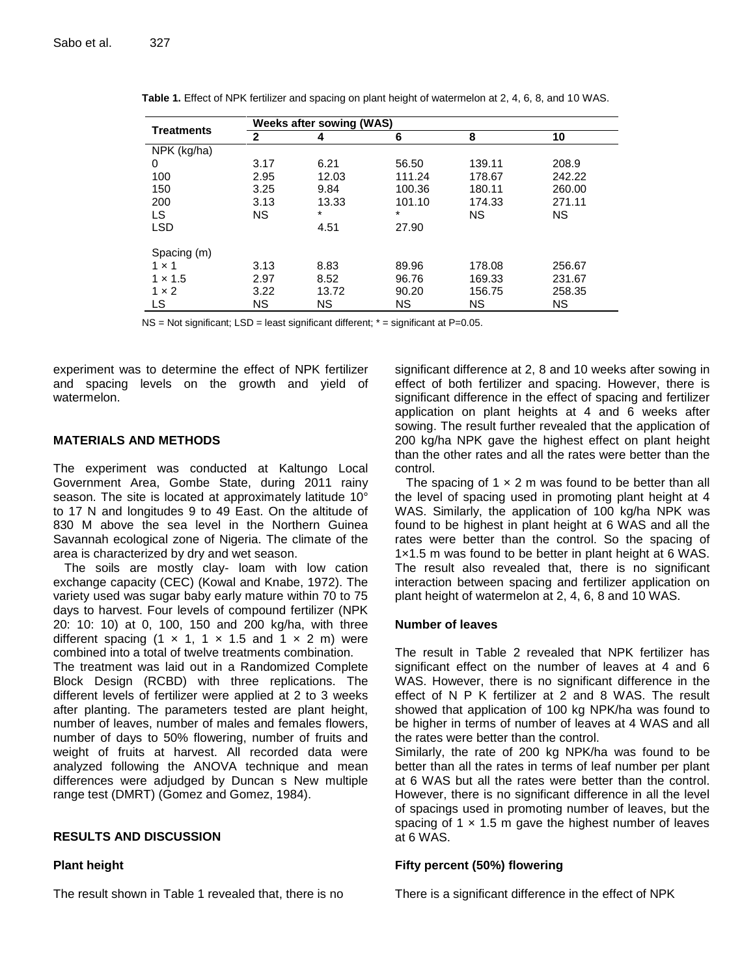| <b>Treatments</b> | <b>Weeks after sowing (WAS)</b> |           |           |           |           |
|-------------------|---------------------------------|-----------|-----------|-----------|-----------|
|                   |                                 |           |           | 8         | 10        |
| NPK (kg/ha)       |                                 |           |           |           |           |
| 0                 | 3.17                            | 6.21      | 56.50     | 139.11    | 208.9     |
| 100               | 2.95                            | 12.03     | 111.24    | 178.67    | 242.22    |
| 150               | 3.25                            | 9.84      | 100.36    | 180.11    | 260.00    |
| 200               | 3.13                            | 13.33     | 101.10    | 174.33    | 271.11    |
| LS                | <b>NS</b>                       |           | $\star$   | <b>NS</b> | <b>NS</b> |
| <b>LSD</b>        |                                 | 4.51      | 27.90     |           |           |
| Spacing (m)       |                                 |           |           |           |           |
| $1 \times 1$      | 3.13                            | 8.83      | 89.96     | 178.08    | 256.67    |
| $1 \times 1.5$    | 2.97                            | 8.52      | 96.76     | 169.33    | 231.67    |
| $1 \times 2$      | 3.22                            | 13.72     | 90.20     | 156.75    | 258.35    |
| LS                | <b>NS</b>                       | <b>NS</b> | <b>NS</b> | <b>NS</b> | <b>NS</b> |

**Table 1.** Effect of NPK fertilizer and spacing on plant height of watermelon at 2, 4, 6, 8, and 10 WAS.

 $NS = Not$  significant;  $LSD =$  least significant different;  $* =$  significant at P=0.05.

experiment was to determine the effect of NPK fertilizer and spacing levels on the growth and yield of watermelon.

#### **MATERIALS AND METHODS**

The experiment was conducted at Kaltungo Local Government Area, Gombe State, during 2011 rainy season. The site is located at approximately latitude 10<sup>°</sup> to 17 N and longitudes 9 to 49 East. On the altitude of 830 M above the sea level in the Northern Guinea Savannah ecological zone of Nigeria. The climate of the area is characterized by dry and wet season.

The soils are mostly clay- loam with low cation exchange capacity (CEC) (Kowal and Knabe, 1972). The variety used was sugar baby early mature within 70 to 75 days to harvest. Four levels of compound fertilizer (NPK 20: 10: 10) at 0, 100, 150 and 200 kg/ha, with three different spacing  $(1 \times 1, 1 \times 1.5)$  and  $(1 \times 2)$  m) were combined into a total of twelve treatments combination.

The treatment was laid out in a Randomized Complete Block Design (RCBD) with three replications. The different levels of fertilizer were applied at 2 to 3 weeks after planting. The parameters tested are plant height, number of leaves, number of males and females flowers, number of days to 50% flowering, number of fruits and weight of fruits at harvest. All recorded data were analyzed following the ANOVA technique and mean differences were adjudged by Duncan s New multiple range test (DMRT) (Gomez and Gomez, 1984).

### **RESULTS AND DISCUSSION**

#### **Plant height**

The result shown in Table 1 revealed that, there is no

significant difference at 2, 8 and 10 weeks after sowing in effect of both fertilizer and spacing. However, there is significant difference in the effect of spacing and fertilizer application on plant heights at 4 and 6 weeks after sowing. The result further revealed that the application of 200 kg/ha NPK gave the highest effect on plant height than the other rates and all the rates were better than the control.

The spacing of  $1 \times 2$  m was found to be better than all the level of spacing used in promoting plant height at 4 WAS. Similarly, the application of 100 kg/ha NPK was found to be highest in plant height at 6 WAS and all the rates were better than the control. So the spacing of 1×1.5 m was found to be better in plant height at 6 WAS. The result also revealed that, there is no significant interaction between spacing and fertilizer application on plant height of watermelon at 2, 4, 6, 8 and 10 WAS.

#### **Number of leaves**

The result in Table 2 revealed that NPK fertilizer has significant effect on the number of leaves at 4 and 6 WAS. However, there is no significant difference in the effect of N P K fertilizer at 2 and 8 WAS. The result showed that application of 100 kg NPK/ha was found to be higher in terms of number of leaves at 4 WAS and all the rates were better than the control.

Similarly, the rate of 200 kg NPK/ha was found to be better than all the rates in terms of leaf number per plant at 6 WAS but all the rates were better than the control. However, there is no significant difference in all the level of spacings used in promoting number of leaves, but the spacing of 1  $\times$  1.5 m gave the highest number of leaves at 6 WAS.

#### **Fifty percent (50%) flowering**

There is a significant difference in the effect of NPK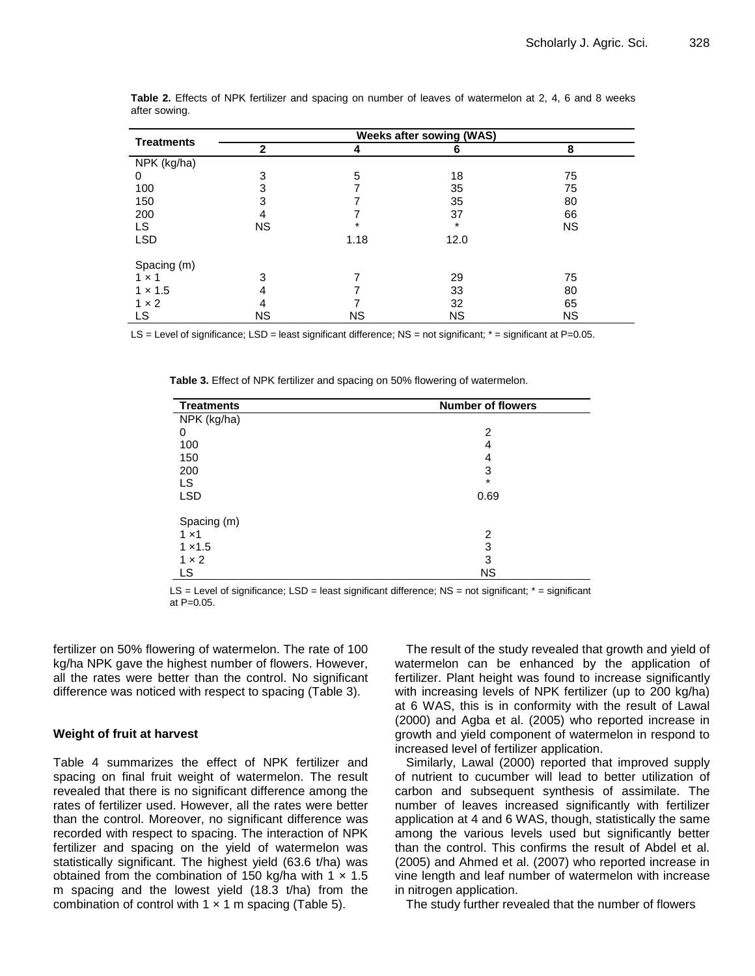| <b>Treatments</b> | <b>Weeks after sowing (WAS)</b> |           |           |           |  |  |
|-------------------|---------------------------------|-----------|-----------|-----------|--|--|
|                   | $\mathbf{2}$                    | 4         | 6         | 8         |  |  |
| NPK (kg/ha)       |                                 |           |           |           |  |  |
| 0                 | 3                               | 5         | 18        | 75        |  |  |
| 100               | 3                               |           | 35        | 75        |  |  |
| 150               |                                 |           | 35        | 80        |  |  |
| 200               |                                 |           | 37        | 66        |  |  |
| <b>LS</b>         | <b>NS</b>                       |           | $\star$   | <b>NS</b> |  |  |
| <b>LSD</b>        |                                 | 1.18      | 12.0      |           |  |  |
| Spacing (m)       |                                 |           |           |           |  |  |
| $1 \times 1$      | 3                               |           | 29        | 75        |  |  |
| $1 \times 1.5$    | 4                               |           | 33        | 80        |  |  |
| $1 \times 2$      |                                 |           | 32        | 65        |  |  |
| LS                | <b>NS</b>                       | <b>NS</b> | <b>NS</b> | <b>NS</b> |  |  |

**Table 2.** Effects of NPK fertilizer and spacing on number of leaves of watermelon at 2, 4, 6 and 8 weeks after sowing.

LS = Level of significance; LSD = least significant difference; NS = not significant;  $*$  = significant at P=0.05.

**Table 3.** Effect of NPK fertilizer and spacing on 50% flowering of watermelon.

| <b>Treatments</b> | <b>Number of flowers</b> |  |  |
|-------------------|--------------------------|--|--|
| NPK (kg/ha)       |                          |  |  |
| 0                 | 2                        |  |  |
| 100               | 4                        |  |  |
| 150               | 4                        |  |  |
| 200               | 3                        |  |  |
| LS                | *                        |  |  |
| <b>LSD</b>        | 0.69                     |  |  |
| Spacing (m)       |                          |  |  |
| $1 \times 1$      | 2                        |  |  |
| $1 \times 1.5$    | 3                        |  |  |
| $1 \times 2$      | 3                        |  |  |
| LS                | <b>NS</b>                |  |  |

 $LS = Level$  of significance;  $LSD = least$  significant difference;  $NS = not$  significant;  $* = significant$ at  $P=0.05$ .

fertilizer on 50% flowering of watermelon. The rate of 100 kg/ha NPK gave the highest number of flowers. However, all the rates were better than the control. No significant difference was noticed with respect to spacing (Table 3).

#### **Weight of fruit at harvest**

Table 4 summarizes the effect of NPK fertilizer and spacing on final fruit weight of watermelon. The result revealed that there is no significant difference among the rates of fertilizer used. However, all the rates were better than the control. Moreover, no significant difference was recorded with respect to spacing. The interaction of NPK fertilizer and spacing on the yield of watermelon was statistically significant. The highest yield (63.6 t/ha) was obtained from the combination of 150 kg/ha with  $1 \times 1.5$ m spacing and the lowest yield (18.3 t/ha) from the combination of control with  $1 \times 1$  m spacing (Table 5).

The result of the study revealed that growth and yield of watermelon can be enhanced by the application of fertilizer. Plant height was found to increase significantly with increasing levels of NPK fertilizer (up to 200 kg/ha) at 6 WAS, this is in conformity with the result of Lawal (2000) and Agba et al. (2005) who reported increase in growth and yield component of watermelon in respond to increased level of fertilizer application.

Similarly, Lawal (2000) reported that improved supply of nutrient to cucumber will lead to better utilization of carbon and subsequent synthesis of assimilate. The number of leaves increased significantly with fertilizer application at 4 and 6 WAS, though, statistically the same among the various levels used but significantly better than the control. This confirms the result of Abdel et al. (2005) and Ahmed et al. (2007) who reported increase in vine length and leaf number of watermelon with increase in nitrogen application.

The study further revealed that the number of flowers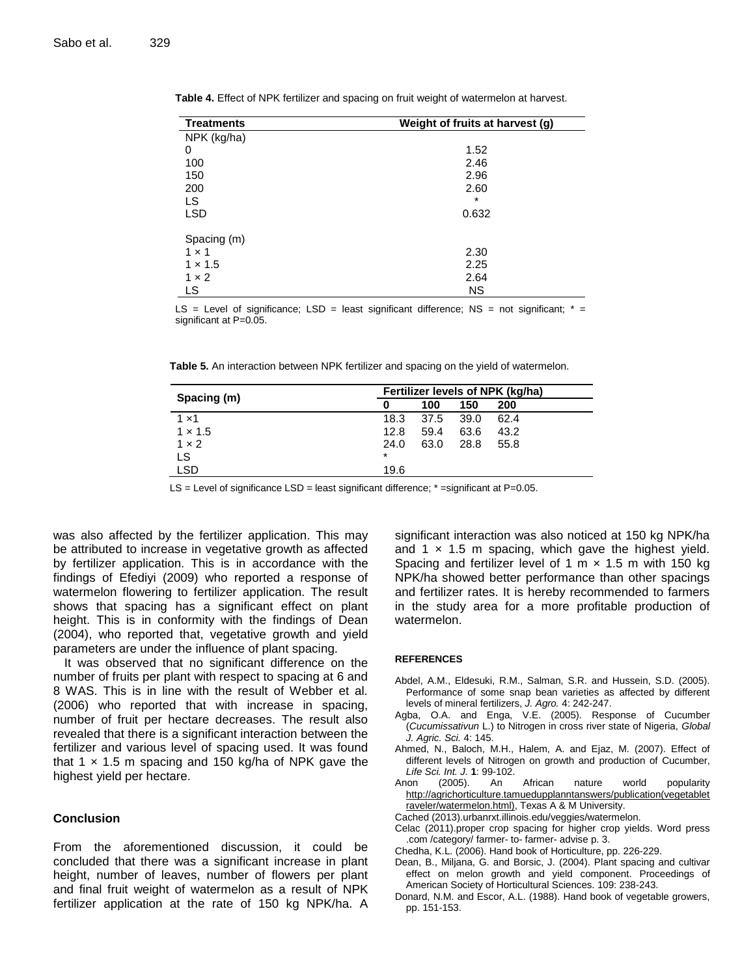| <b>Treatments</b> | Weight of fruits at harvest (g) |
|-------------------|---------------------------------|
| NPK (kg/ha)       |                                 |
| 0                 | 1.52                            |
| 100               | 2.46                            |
| 150               | 2.96                            |
| 200               | 2.60                            |
| LS                | $\star$                         |
| <b>LSD</b>        | 0.632                           |
| Spacing (m)       |                                 |
| $1 \times 1$      | 2.30                            |
| $1 \times 1.5$    | 2.25                            |
| $1 \times 2$      | 2.64                            |
| LS                | <b>NS</b>                       |

**Table 4.** Effect of NPK fertilizer and spacing on fruit weight of watermelon at harvest.

LS = Level of significance; LSD = least significant difference; NS = not significant;  $* =$ significant at P=0.05.

| Table 5. An interaction between NPK fertilizer and spacing on the yield of watermelon. |  |  |  |  |  |
|----------------------------------------------------------------------------------------|--|--|--|--|--|
|----------------------------------------------------------------------------------------|--|--|--|--|--|

|                | Fertilizer levels of NPK (kg/ha) |      |      |      |
|----------------|----------------------------------|------|------|------|
| Spacing (m)    | 0                                | 100  | 150  | 200  |
| $1 \times 1$   | 18.3                             | 37.5 | 39.0 | 62.4 |
| $1 \times 1.5$ | 12.8                             | 59.4 | 63.6 | 43.2 |
| $1 \times 2$   | 24.0                             | 63.0 | 28.8 | 55.8 |
| LS             | $\star$                          |      |      |      |
| <b>LSD</b>     | 19.6                             |      |      |      |

LS = Level of significance LSD = least significant difference;  $*$  = significant at P=0.05.

was also affected by the fertilizer application. This may be attributed to increase in vegetative growth as affected by fertilizer application. This is in accordance with the findings of Efediyi (2009) who reported a response of watermelon flowering to fertilizer application. The result shows that spacing has a significant effect on plant height. This is in conformity with the findings of Dean (2004), who reported that, vegetative growth and yield parameters are under the influence of plant spacing.

It was observed that no significant difference on the number of fruits per plant with respect to spacing at 6 and 8 WAS. This is in line with the result of Webber et al. (2006) who reported that with increase in spacing, number of fruit per hectare decreases. The result also revealed that there is a significant interaction between the fertilizer and various level of spacing used. It was found that 1  $\times$  1.5 m spacing and 150 kg/ha of NPK gave the highest yield per hectare.

#### **Conclusion**

From the aforementioned discussion, it could be concluded that there was a significant increase in plant height, number of leaves, number of flowers per plant and final fruit weight of watermelon as a result of NPK fertilizer application at the rate of 150 kg NPK/ha. A

significant interaction was also noticed at 150 kg NPK/ha and 1  $\times$  1.5 m spacing, which gave the highest yield. Spacing and fertilizer level of 1 m  $\times$  1.5 m with 150 kg NPK/ha showed better performance than other spacings and fertilizer rates. It is hereby recommended to farmers in the study area for a more profitable production of watermelon.

#### **REFERENCES**

- Abdel, A.M., Eldesuki, R.M., Salman, S.R. and Hussein, S.D. (2005). Performance of some snap bean varieties as affected by different levels of mineral fertilizers, *J. Agro.* 4: 242-247.
- Agba, O.A. and Enga, V.E. (2005). Response of Cucumber (*Cucumissativun* L.) to Nitrogen in cross river state of Nigeria, *Global J. Agric. Sci.* 4: 145.
- Ahmed, N., Baloch, M.H., Halem, A. and Ejaz, M. (2007). Effect of different levels of Nitrogen on growth and production of Cucumber, *Life Sci. Int. J.* **1**: 99-102.
- Anon (2005). An African nature world popularity [http://agrichorticulture.tamuedupplanntanswers/publication\(vegetablet](http://agrichorticulture.tamuedupplanntanswers/publication(vegetabletraveler/watermelon.html)) [raveler/watermelon.html\),](http://agrichorticulture.tamuedupplanntanswers/publication(vegetabletraveler/watermelon.html)) Texas A & M University.
- Cached (2013).urbanrxt.illinois.edu/veggies/watermelon.
- Celac (2011).proper crop spacing for higher crop yields. Word press .com /category/ farmer- to- farmer- advise p. 3.
- Chedha, K.L. (2006). Hand book of Horticulture, pp. 226-229.
- Dean, B., Miljana, G. and Borsic, J. (2004). Plant spacing and cultivar effect on melon growth and yield component. Proceedings of American Society of Horticultural Sciences. 109: 238-243.
- Donard, N.M. and Escor, A.L. (1988). Hand book of vegetable growers, pp. 151-153.